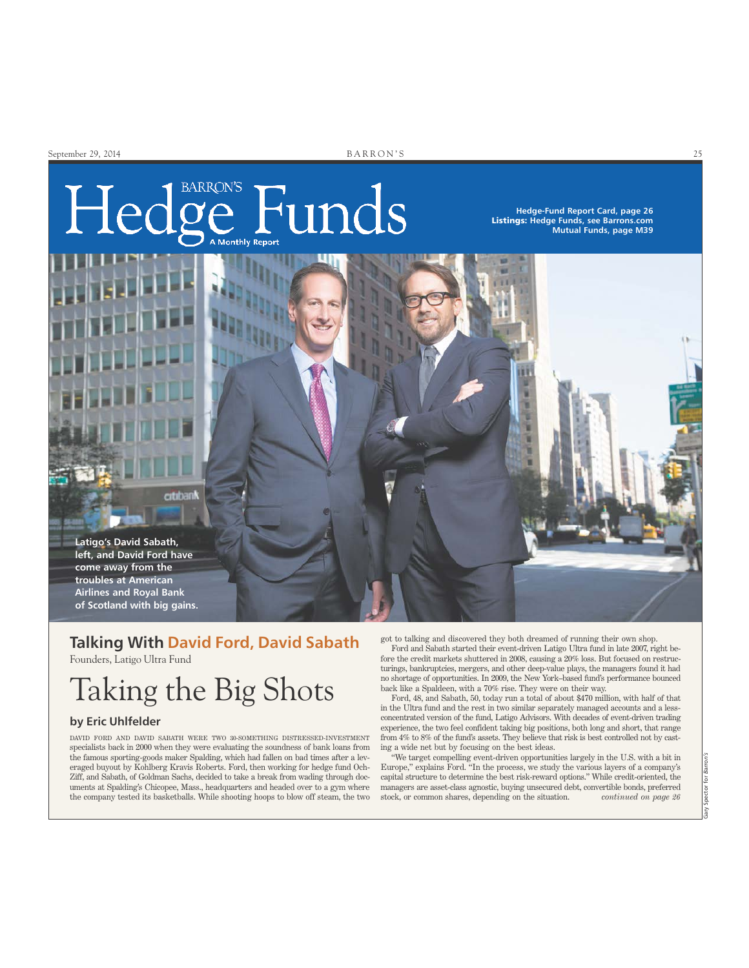# ge Funds Hed

**Hedge-Fund Report Card, page 26** Listings: **Hedge Funds, see Barrons.com Mutual Funds, page M39**



### **Talking With David Ford, David Sabath**

Founders, Latigo Ultra Fund

## Taking the Big Shots

#### **by Eric Uhlfelder**

DAVID FORD AND DAVID SABATH WERE TWO 30-SOMETHING DISTRESSED-INVESTMENT specialists back in 2000 when they were evaluating the soundness of bank loans from the famous sporting-goods maker Spalding, which had fallen on bad times after a leveraged buyout by Kohlberg Kravis Roberts. Ford, then working for hedge fund Och-Ziff, and Sabath, of Goldman Sachs, decided to take a break from wading through documents at Spalding's Chicopee, Mass., headquarters and headed over to a gym where the company tested its basketballs. While shooting hoops to blow off steam, the two got to talking and discovered they both dreamed of running their own shop.

Ford and Sabath started their event-driven Latigo Ultra fund in late 2007, right before the credit markets shuttered in 2008, causing a 20% loss. But focused on restructurings, bankruptcies, mergers, and other deep-value plays, the managers found it had no shortage of opportunities. In 2009, the New York–based fund's performance bounced back like a Spaldeen, with a 70% rise. They were on their way.

Ford, 48, and Sabath, 50, today run a total of about \$470 million, with half of that in the Ultra fund and the rest in two similar separately managed accounts and a lessconcentrated version of the fund, Latigo Advisors. With decades of event-driven trading experience, the two feel confident taking big positions, both long and short, that range from 4% to 8% of the fund's assets. They believe that risk is best controlled not by casting a wide net but by focusing on the best ideas.

"We target compelling event-driven opportunities largely in the U.S. with a bit in Europe," explains Ford. "In the process, we study the various layers of a company's capital structure to determine the best risk-reward options." While credit-oriented, the managers are asset-class agnostic, buying unsecured debt, convertible bonds, preferred stock, or common shares, depending on the situation. *continued on page 26*